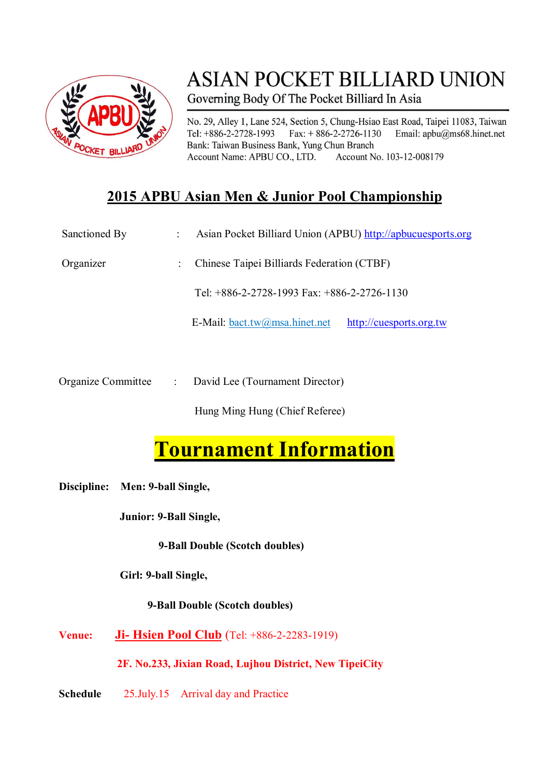

## **ASIAN POCKET BILLIARD UNION** Governing Body Of The Pocket Billiard In Asia

No. 29, Alley 1, Lane 524, Section 5, Chung-Hsiao East Road, Taipei 11083, Taiwan Tel:  $+886-2-2728-1993$  Fax:  $+886-2-2726-1130$ Email: apbu@ms68.hinet.net Bank: Taiwan Business Bank, Yung Chun Branch Account Name: APBU CO., LTD. Account No. 103-12-008179

### **2015 APBU Asian Men & Junior Pool Championship**

| Sanctioned By | Asian Pocket Billiard Union (APBU) http://apbucuesports.org |                         |
|---------------|-------------------------------------------------------------|-------------------------|
| Organizer     | Chinese Taipei Billiards Federation (CTBF)                  |                         |
|               | Tel: +886-2-2728-1993 Fax: +886-2-2726-1130                 |                         |
|               | E-Mail: $bact.tw@msa.hinet.net$                             | http://cuesports.org.tw |

Organize Committee : David Lee (Tournament Director)

Hung Ming Hung (Chief Referee)

# **Tournament Information**

**Discipline: Men: 9-ball Single,**

**Junior: 9-Ball Single,** 

**9-Ball Double (Scotch doubles)**

 **Girl: 9-ball Single,** 

**9-Ball Double (Scotch doubles)**

**Venue: Ji- Hsien Pool Club** (Tel: +886-2-2283-1919)

**2F. No.233, Jixian Road, Lujhou District, New TipeiCity**

**Schedule** 25.July.15 Arrival day and Practice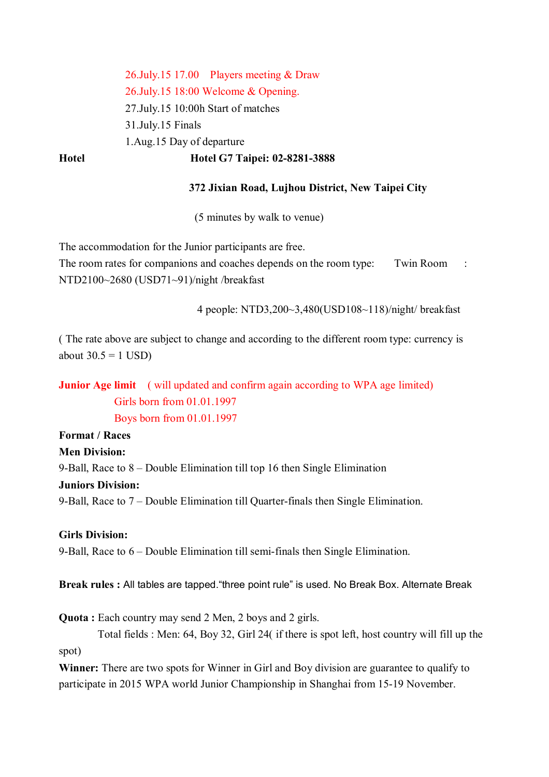26.July.15 17.00 Players meeting & Draw 26.July.15 18:00 Welcome & Opening. 27.July.15 10:00h Start of matches 31.July.15 Finals 1.Aug.15 Day of departure **Hotel Hotel G7 Taipei: 02-8281-3888**

#### **372 Jixian Road, Lujhou District, New Taipei City**

(5 minutes by walk to venue)

The accommodation for the Junior participants are free.

The room rates for companions and coaches depends on the room type: Twin Room : NTD2100~2680 (USD71~91)/night /breakfast

4 people: NTD3,200~3,480(USD108~118)/night/ breakfast

( The rate above are subject to change and according to the different room type: currency is about  $30.5 = 1$  USD)

**Junior Age limit** ( will updated and confirm again according to WPA age limited) Girls born from 01.01.1997 Boys born from 01.01.1997

**Format / Races** 

#### **Men Division:**

9-Ball, Race to 8 – Double Elimination till top 16 then Single Elimination

#### **Juniors Division:**

9-Ball, Race to 7 – Double Elimination till Quarter-finals then Single Elimination.

#### **Girls Division:**

9-Ball, Race to 6 – Double Elimination till semi-finals then Single Elimination.

**Break rules :** All tables are tapped."three point rule" is used. No Break Box. Alternate Break

**Quota :** Each country may send 2 Men, 2 boys and 2 girls.

Total fields : Men: 64, Boy 32, Girl 24( if there is spot left, host country will fill up the spot)

**Winner:** There are two spots for Winner in Girl and Boy division are guarantee to qualify to participate in 2015 WPA world Junior Championship in Shanghai from 15-19 November.